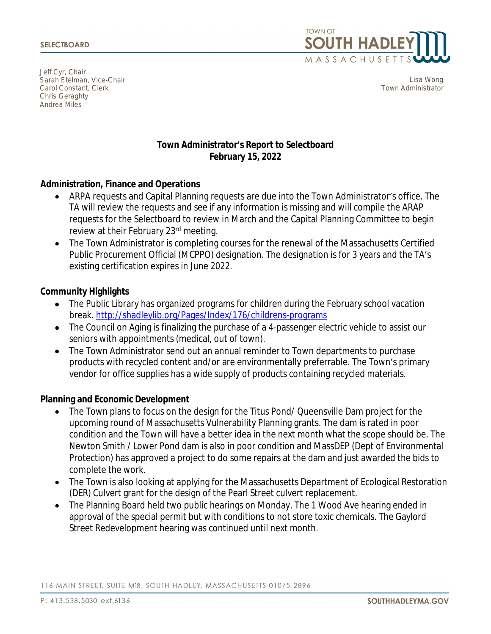Jeff Cyr, Chair Sarah Etelman, Vice-Chair Carol Constant, Clerk Chris Geraghty Andrea Miles



Lisa Wong Town Administrator

# **Town Administrator's Report to Selectboard February 15, 2022**

## **Administration, Finance and Operations**

- ARPA requests and Capital Planning requests are due into the Town Administrator's office. The TA will review the requests and see if any information is missing and will compile the ARAP requests for the Selectboard to review in March and the Capital Planning Committee to begin review at their February 23rd meeting.
- The Town Administrator is completing courses for the renewal of the Massachusetts Certified Public Procurement Official (MCPPO) designation. The designation is for 3 years and the TA's existing certification expires in June 2022.

### **Community Highlights**

- The Public Library has organized programs for children during the February school vacation break. <http://shadleylib.org/Pages/Index/176/childrens-programs>
- The Council on Aging is finalizing the purchase of a 4-passenger electric vehicle to assist our seniors with appointments (medical, out of town).
- The Town Administrator send out an annual reminder to Town departments to purchase products with recycled content and/or are environmentally preferrable. The Town's primary vendor for office supplies has a wide supply of products containing recycled materials.

### **Planning and Economic Development**

- The Town plans to focus on the design for the Titus Pond/ Queensville Dam project for the upcoming round of Massachusetts Vulnerability Planning grants. The dam is rated in poor condition and the Town will have a better idea in the next month what the scope should be. The Newton Smith / Lower Pond dam is also in poor condition and MassDEP (Dept of Environmental Protection) has approved a project to do some repairs at the dam and just awarded the bids to complete the work.
- The Town is also looking at applying for the Massachusetts Department of Ecological Restoration (DER) Culvert grant for the design of the Pearl Street culvert replacement.
- The Planning Board held two public hearings on Monday. The 1 Wood Ave hearing ended in approval of the special permit but with conditions to not store toxic chemicals. The Gaylord Street Redevelopment hearing was continued until next month.